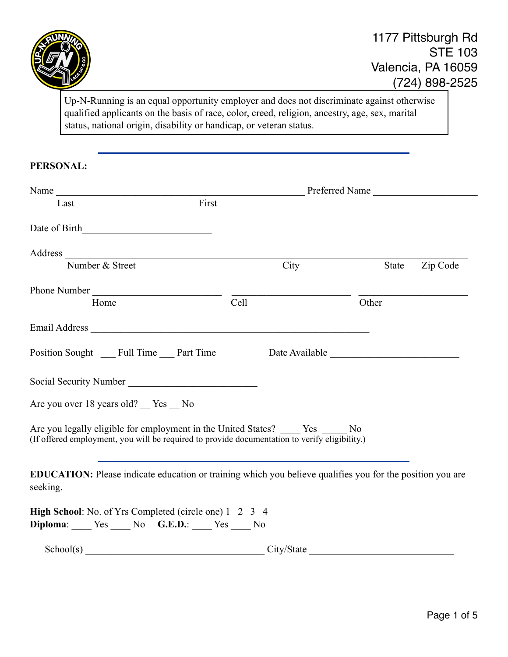

Up-N-Running is an equal opportunity employer and does not discriminate against otherwise qualified applicants on the basis of race, color, creed, religion, ancestry, age, sex, marital status, national origin, disability or handicap, or veteran status.

## **PERSONAL:**

| First<br>Last                                                                                                                                                                                                                          |      |                   |
|----------------------------------------------------------------------------------------------------------------------------------------------------------------------------------------------------------------------------------------|------|-------------------|
|                                                                                                                                                                                                                                        |      |                   |
|                                                                                                                                                                                                                                        |      |                   |
| Number & Street                                                                                                                                                                                                                        | City | Zip Code<br>State |
| Phone Number                                                                                                                                                                                                                           |      |                   |
| Home                                                                                                                                                                                                                                   | Cell | Other             |
|                                                                                                                                                                                                                                        |      |                   |
| Position Sought Full Time Part Time Date Available                                                                                                                                                                                     |      |                   |
| Social Security Number<br><u>Letter and the second of the second of the second of the second of the second of the second of the second of the second of the second of the second of the second of the second of the second of the </u> |      |                   |
| Are you over 18 years old? Yes No                                                                                                                                                                                                      |      |                   |
| Are you legally eligible for employment in the United States? _____ Yes _____ No<br>(If offered employment, you will be required to provide documentation to verify eligibility.)                                                      |      |                   |
| EDUCATION: Please indicate education or training which you believe qualifies you for the position you are<br>seeking.                                                                                                                  |      |                   |
| <b>High School:</b> No. of Yrs Completed (circle one) 1 2 3 4<br>Diploma: Yes No G.E.D.: Yes No                                                                                                                                        |      |                   |
| School(s) City/State City/State                                                                                                                                                                                                        |      |                   |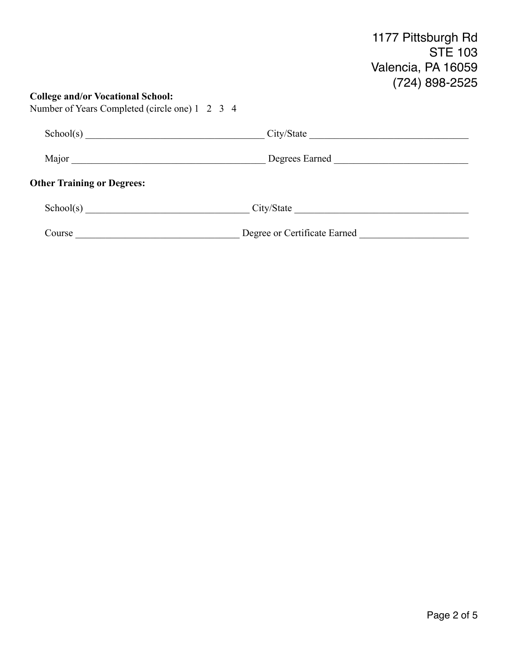## **College and/or Vocational School:** Number of Years Completed (circle one) 1 2 3 4 School(s) \_\_\_\_\_\_\_\_\_\_\_\_\_\_\_\_\_\_\_\_\_\_\_\_\_\_\_\_\_\_\_\_\_\_\_\_ City/State \_\_\_\_\_\_\_\_\_\_\_\_\_\_\_\_\_\_\_\_\_\_\_\_\_\_\_\_\_\_\_\_ Major \_\_\_\_\_\_\_\_\_\_\_\_\_\_\_\_\_\_\_\_\_\_\_\_\_\_\_\_\_\_\_\_\_\_\_\_\_\_\_ Degrees Earned \_\_\_\_\_\_\_\_\_\_\_\_\_\_\_\_\_\_\_\_\_\_\_\_\_\_\_ **Other Training or Degrees:** School(s) \_\_\_\_\_\_\_\_\_\_\_\_\_\_\_\_\_\_\_\_\_\_\_\_\_\_\_\_\_\_\_\_\_ City/State \_\_\_\_\_\_\_\_\_\_\_\_\_\_\_\_\_\_\_\_\_\_\_\_\_\_\_\_\_\_\_\_\_\_\_ Course \_\_\_\_\_\_\_\_\_\_\_\_\_\_\_\_\_\_\_\_\_\_\_\_\_\_\_\_\_\_\_\_\_ Degree or Certificate Earned \_\_\_\_\_\_\_\_\_\_\_\_\_\_\_\_\_\_\_\_\_\_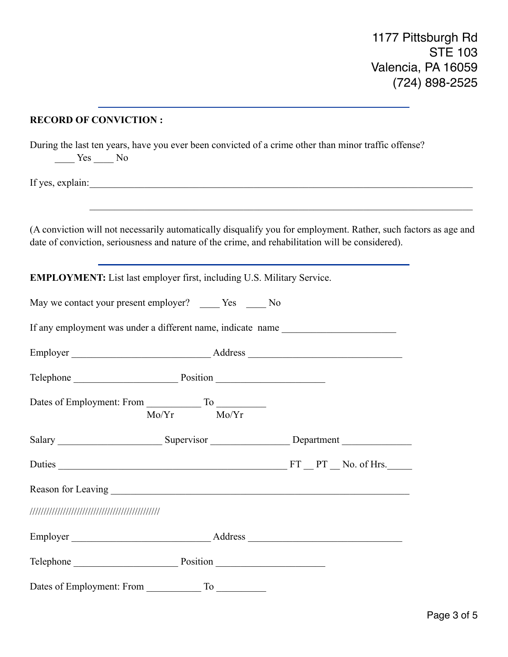## **RECORD OF CONVICTION :**

During the last ten years, have you ever been convicted of a crime other than minor traffic offense?  $\frac{1}{\sqrt{1-\frac{1}{c}}}$  Yes  $\frac{1}{\sqrt{1-\frac{1}{c}}}$  No

If yes, explain:

(A conviction will not necessarily automatically disqualify you for employment. Rather, such factors as age and date of conviction, seriousness and nature of the crime, and rehabilitation will be considered).

| <b>EMPLOYMENT:</b> List last employer first, including U.S. Military Service. |                 |  |  |  |  |
|-------------------------------------------------------------------------------|-----------------|--|--|--|--|
| May we contact your present employer? _____ Yes _____ No                      |                 |  |  |  |  |
| If any employment was under a different name, indicate name                   |                 |  |  |  |  |
|                                                                               |                 |  |  |  |  |
| Telephone Position Position                                                   |                 |  |  |  |  |
|                                                                               | $Mo/Yr$ $Mo/Yr$ |  |  |  |  |
|                                                                               |                 |  |  |  |  |
|                                                                               |                 |  |  |  |  |
|                                                                               |                 |  |  |  |  |
|                                                                               |                 |  |  |  |  |
|                                                                               |                 |  |  |  |  |
| Telephone Position Position                                                   |                 |  |  |  |  |
| Dates of Employment: From                                                     |                 |  |  |  |  |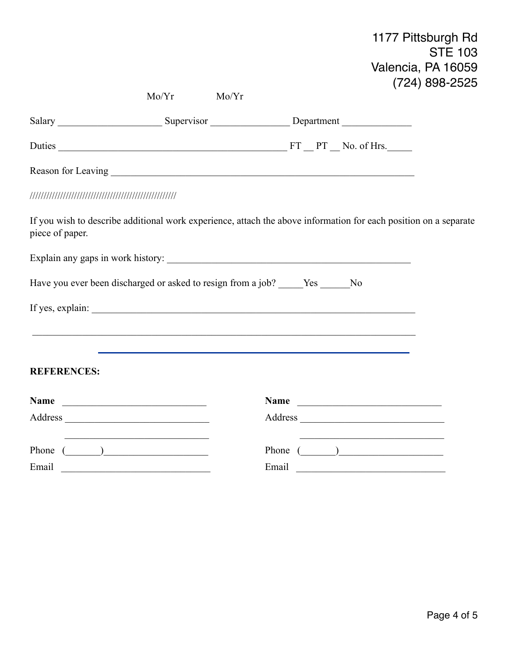1177 Pittsburgh Rd STE 103 Valencia, PA 16059 (724) 898-2525

|                    | Mo/Yr<br>Mo/Yr                                                                                                                      |                                                                                                                      |  |
|--------------------|-------------------------------------------------------------------------------------------------------------------------------------|----------------------------------------------------------------------------------------------------------------------|--|
|                    |                                                                                                                                     |                                                                                                                      |  |
|                    |                                                                                                                                     |                                                                                                                      |  |
|                    |                                                                                                                                     |                                                                                                                      |  |
|                    |                                                                                                                                     |                                                                                                                      |  |
| piece of paper.    |                                                                                                                                     | If you wish to describe additional work experience, attach the above information for each position on a separate     |  |
|                    |                                                                                                                                     |                                                                                                                      |  |
|                    | Have you ever been discharged or asked to resign from a job? _____Yes _____No                                                       |                                                                                                                      |  |
|                    |                                                                                                                                     |                                                                                                                      |  |
|                    |                                                                                                                                     |                                                                                                                      |  |
| <b>REFERENCES:</b> |                                                                                                                                     |                                                                                                                      |  |
|                    | Name                                                                                                                                | Name                                                                                                                 |  |
|                    |                                                                                                                                     |                                                                                                                      |  |
|                    | <u> 1989 - Johann Stein, mars an deutscher Stein und der Stein und der Stein und der Stein und der Stein und der</u><br>Phone $($ ) | <u> 1989 - Johann Barbara, martin amerikan basar dan berasal dalam basa dalam basar dalam basar dalam basar dala</u> |  |
| Email              |                                                                                                                                     | Email                                                                                                                |  |